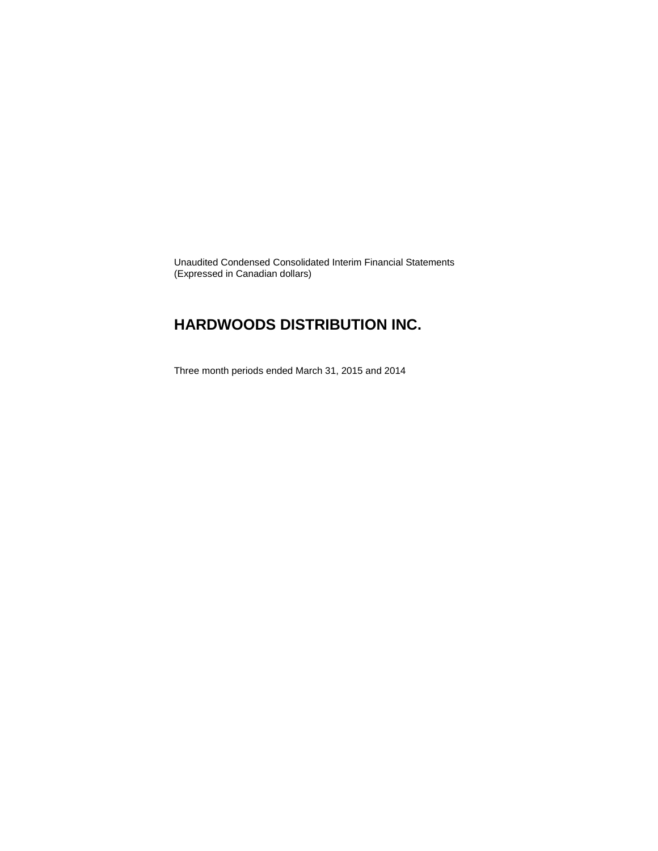Unaudited Condensed Consolidated Interim Financial Statements (Expressed in Canadian dollars)

### **HARDWOODS DISTRIBUTION INC.**

Three month periods ended March 31, 2015 and 2014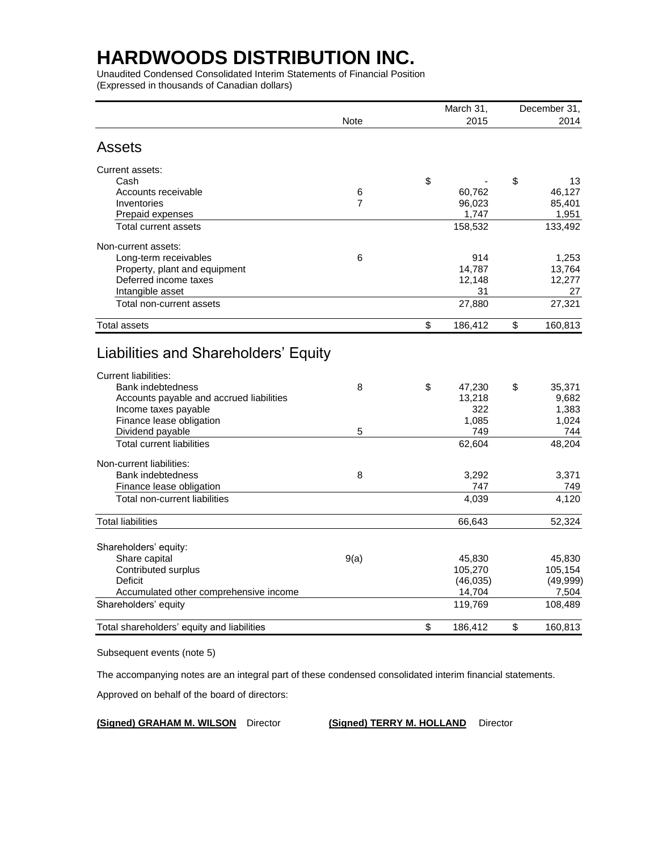Unaudited Condensed Consolidated Interim Statements of Financial Position (Expressed in thousands of Canadian dollars)

|                                                                                                                                                         |                |    | March 31,                        | December 31, |                                   |  |
|---------------------------------------------------------------------------------------------------------------------------------------------------------|----------------|----|----------------------------------|--------------|-----------------------------------|--|
|                                                                                                                                                         | Note           |    | 2015                             |              | 2014                              |  |
| Assets                                                                                                                                                  |                |    |                                  |              |                                   |  |
| Current assets:                                                                                                                                         |                |    |                                  |              |                                   |  |
| Cash                                                                                                                                                    |                | \$ |                                  | \$           | 13                                |  |
| Accounts receivable                                                                                                                                     | 6              |    | 60,762                           |              | 46,127                            |  |
| Inventories                                                                                                                                             | $\overline{7}$ |    | 96,023                           |              | 85,401                            |  |
| Prepaid expenses                                                                                                                                        |                |    | 1,747                            |              | 1,951                             |  |
| Total current assets                                                                                                                                    |                |    | 158,532                          |              | 133,492                           |  |
| Non-current assets:                                                                                                                                     |                |    |                                  |              |                                   |  |
| Long-term receivables                                                                                                                                   | 6              |    | 914                              |              | 1,253                             |  |
| Property, plant and equipment                                                                                                                           |                |    | 14,787                           |              | 13,764                            |  |
| Deferred income taxes                                                                                                                                   |                |    | 12,148                           |              | 12,277                            |  |
| Intangible asset                                                                                                                                        |                |    | 31                               |              | 27                                |  |
| Total non-current assets                                                                                                                                |                |    | 27,880                           |              | 27,321                            |  |
| <b>Total assets</b>                                                                                                                                     |                | \$ | 186,412                          | \$           | 160,813                           |  |
| <b>Current liabilities:</b><br><b>Bank indebtedness</b><br>Accounts payable and accrued liabilities<br>Income taxes payable<br>Finance lease obligation | 8              | \$ | 47,230<br>13,218<br>322<br>1,085 | \$           | 35,371<br>9,682<br>1,383<br>1,024 |  |
| Dividend payable                                                                                                                                        | 5              |    | 749                              |              | 744                               |  |
| <b>Total current liabilities</b>                                                                                                                        |                |    | 62,604                           |              | 48,204                            |  |
| Non-current liabilities:                                                                                                                                | 8              |    |                                  |              |                                   |  |
| <b>Bank indebtedness</b>                                                                                                                                |                |    | 3,292<br>747                     |              | 3,371<br>749                      |  |
| Finance lease obligation<br>Total non-current liabilities                                                                                               |                |    | 4,039                            |              | 4,120                             |  |
|                                                                                                                                                         |                |    |                                  |              |                                   |  |
| <b>Total liabilities</b>                                                                                                                                |                |    | 66,643                           |              | 52,324                            |  |
| Shareholders' equity:                                                                                                                                   |                |    |                                  |              |                                   |  |
| Share capital                                                                                                                                           | 9(a)           |    | 45,830                           |              | 45,830                            |  |
| Contributed surplus                                                                                                                                     |                |    | 105,270                          |              | 105,154                           |  |
| Deficit                                                                                                                                                 |                |    | (46, 035)                        |              | (49, 999)                         |  |
| Accumulated other comprehensive income                                                                                                                  |                |    | 14,704                           |              | 7,504                             |  |
| Shareholders' equity                                                                                                                                    |                |    | 119,769                          |              | 108,489                           |  |
| Total shareholders' equity and liabilities                                                                                                              |                | \$ | 186,412                          | \$           | 160,813                           |  |

Subsequent events (note 5)

The accompanying notes are an integral part of these condensed consolidated interim financial statements.

Approved on behalf of the board of directors:

**(Signed) GRAHAM M. WILSON** Director **(Signed) TERRY M. HOLLAND** Director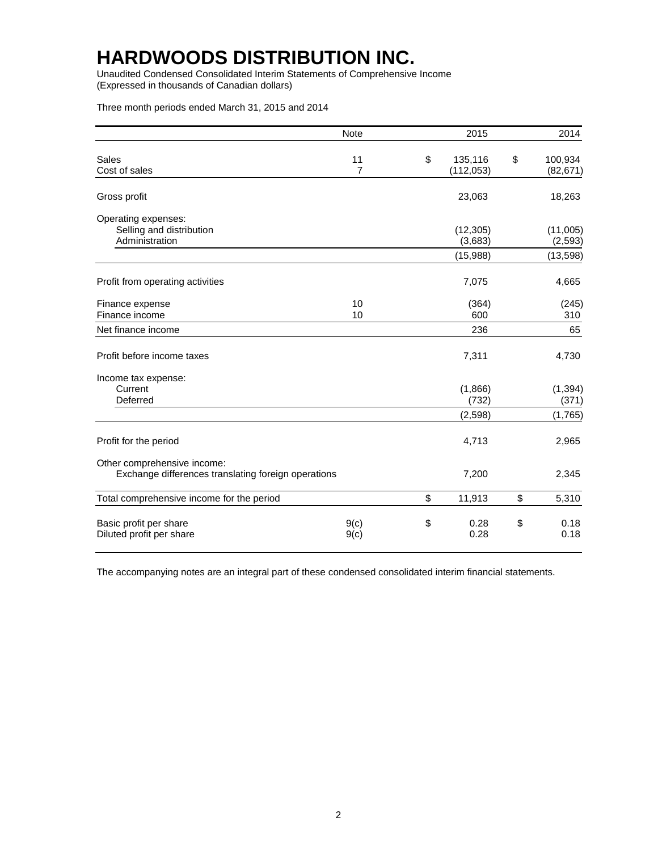Unaudited Condensed Consolidated Interim Statements of Comprehensive Income (Expressed in thousands of Canadian dollars)

Three month periods ended March 31, 2015 and 2014

|                                                                                    | <b>Note</b>          | 2015                        | 2014                       |
|------------------------------------------------------------------------------------|----------------------|-----------------------------|----------------------------|
| Sales<br>Cost of sales                                                             | 11<br>$\overline{7}$ | \$<br>135,116<br>(112, 053) | \$<br>100,934<br>(82, 671) |
| Gross profit                                                                       |                      | 23,063                      | 18,263                     |
| Operating expenses:<br>Selling and distribution<br>Administration                  |                      | (12, 305)<br>(3,683)        | (11,005)<br>(2, 593)       |
|                                                                                    |                      | (15,988)                    | (13, 598)                  |
| Profit from operating activities                                                   |                      | 7,075                       | 4,665                      |
| Finance expense<br>Finance income                                                  | 10<br>10             | (364)<br>600                | (245)<br>310               |
| Net finance income                                                                 |                      | 236                         | 65                         |
| Profit before income taxes                                                         |                      | 7,311                       | 4,730                      |
| Income tax expense:<br>Current<br>Deferred                                         |                      | (1,866)<br>(732)            | (1, 394)<br>(371)          |
|                                                                                    |                      | (2, 598)                    | (1,765)                    |
| Profit for the period                                                              |                      | 4,713                       | 2,965                      |
| Other comprehensive income:<br>Exchange differences translating foreign operations |                      | 7,200                       | 2,345                      |
| Total comprehensive income for the period                                          |                      | \$<br>11,913                | \$<br>5,310                |
| Basic profit per share<br>Diluted profit per share                                 | 9(c)<br>9(c)         | \$<br>0.28<br>0.28          | \$<br>0.18<br>0.18         |

The accompanying notes are an integral part of these condensed consolidated interim financial statements.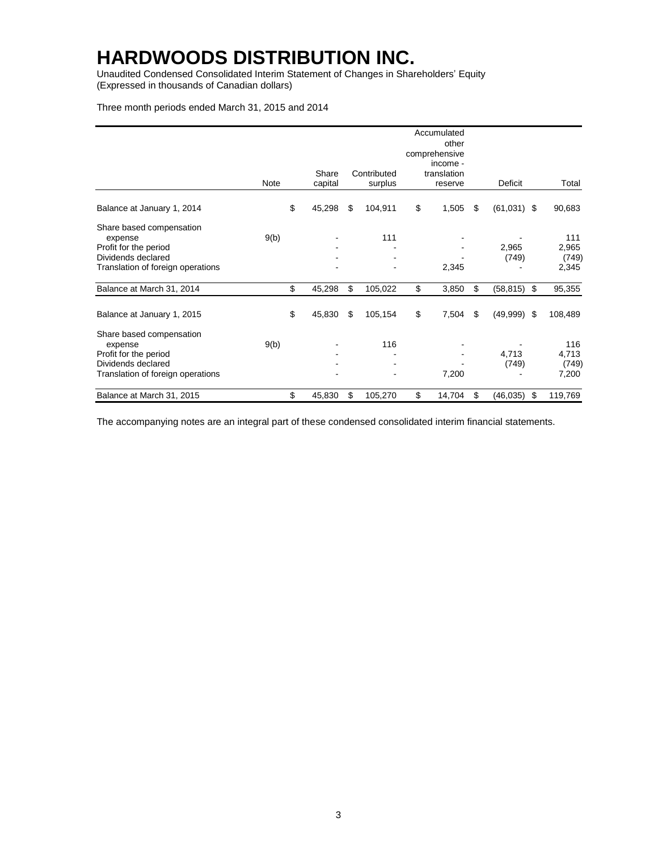Unaudited Condensed Consolidated Interim Statement of Changes in Shareholders' Equity (Expressed in thousands of Canadian dollars)

#### Three month periods ended March 31, 2015 and 2014

|                                                                                                                         | Note | Share<br>capital | Contributed<br>surplus | Accumulated<br>other<br>comprehensive<br>income -<br>translation<br>reserve | Deficit             | Total                          |
|-------------------------------------------------------------------------------------------------------------------------|------|------------------|------------------------|-----------------------------------------------------------------------------|---------------------|--------------------------------|
| Balance at January 1, 2014                                                                                              |      | \$<br>45,298     | \$<br>104,911          | \$<br>1,505                                                                 | \$<br>$(61,031)$ \$ | 90,683                         |
| Share based compensation<br>expense<br>Profit for the period<br>Dividends declared<br>Translation of foreign operations | 9(b) |                  | 111                    | 2,345                                                                       | 2,965<br>(749)      | 111<br>2,965<br>(749)<br>2,345 |
| Balance at March 31, 2014                                                                                               |      | \$<br>45,298     | \$<br>105,022          | \$<br>3,850                                                                 | \$<br>(58, 815)     | \$<br>95,355                   |
| Balance at January 1, 2015                                                                                              |      | \$<br>45,830     | \$<br>105,154          | \$<br>7,504                                                                 | \$<br>(49,999)      | \$<br>108,489                  |
| Share based compensation<br>expense<br>Profit for the period<br>Dividends declared<br>Translation of foreign operations | 9(b) |                  | 116                    | 7,200                                                                       | 4,713<br>(749)      | 116<br>4,713<br>(749)<br>7,200 |
| Balance at March 31, 2015                                                                                               |      | \$<br>45,830     | \$<br>105,270          | \$<br>14,704                                                                | \$<br>(46, 035)     | \$<br>119,769                  |

The accompanying notes are an integral part of these condensed consolidated interim financial statements.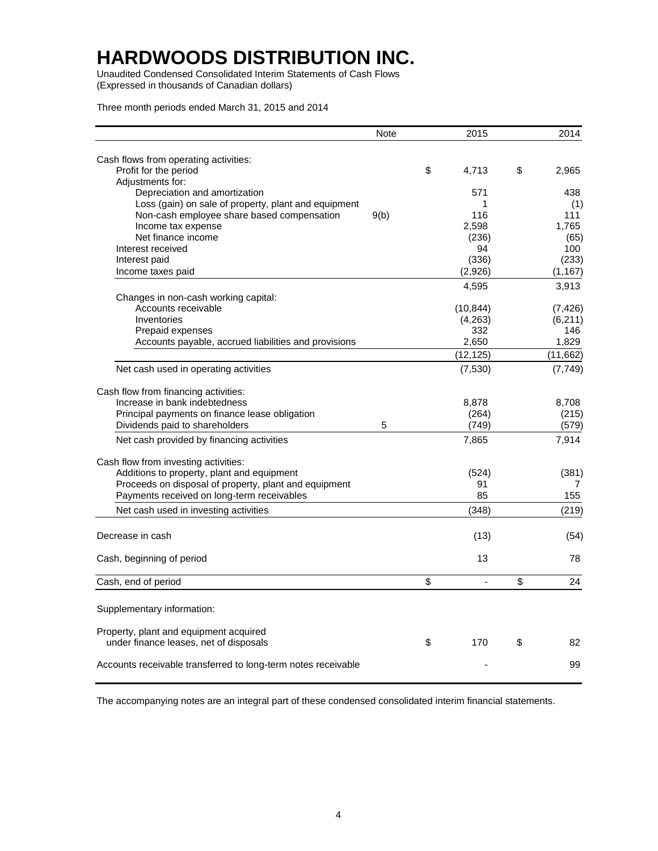Unaudited Condensed Consolidated Interim Statements of Cash Flows (Expressed in thousands of Canadian dollars)

Three month periods ended March 31, 2015 and 2014

|                                                               | <b>Note</b> | 2015        | 2014        |
|---------------------------------------------------------------|-------------|-------------|-------------|
| Cash flows from operating activities:                         |             |             |             |
| Profit for the period                                         |             | \$<br>4,713 | \$<br>2,965 |
| Adjustments for:                                              |             |             |             |
| Depreciation and amortization                                 |             | 571         | 438         |
| Loss (gain) on sale of property, plant and equipment          |             | 1           | (1)         |
| Non-cash employee share based compensation                    | 9(b)        | 116         | 111         |
| Income tax expense                                            |             | 2,598       | 1,765       |
| Net finance income                                            |             | (236)       | (65)        |
| Interest received                                             |             | 94          | 100         |
| Interest paid                                                 |             | (336)       | (233)       |
| Income taxes paid                                             |             | (2,926)     | (1, 167)    |
|                                                               |             | 4,595       | 3,913       |
| Changes in non-cash working capital:                          |             |             |             |
| Accounts receivable                                           |             | (10, 844)   | (7, 426)    |
| Inventories                                                   |             | (4,263)     | (6,211)     |
| Prepaid expenses                                              |             | 332         | 146         |
| Accounts payable, accrued liabilities and provisions          |             | 2,650       | 1.829       |
|                                                               |             | (12, 125)   | (11,662)    |
| Net cash used in operating activities                         |             | (7,530)     | (7, 749)    |
|                                                               |             |             |             |
| Cash flow from financing activities:                          |             |             |             |
| Increase in bank indebtedness                                 |             | 8,878       | 8,708       |
| Principal payments on finance lease obligation                |             | (264)       | (215)       |
| Dividends paid to shareholders                                | 5           | (749)       | (579)       |
| Net cash provided by financing activities                     |             | 7,865       | 7,914       |
| Cash flow from investing activities:                          |             |             |             |
| Additions to property, plant and equipment                    |             | (524)       | (381)       |
| Proceeds on disposal of property, plant and equipment         |             | 91          | 7           |
| Payments received on long-term receivables                    |             | 85          | 155         |
| Net cash used in investing activities                         |             | (348)       | (219)       |
|                                                               |             |             |             |
| Decrease in cash                                              |             | (13)        | (54)        |
| Cash, beginning of period                                     |             | 13          | 78          |
|                                                               |             |             |             |
| Cash, end of period                                           |             | \$          | \$<br>24    |
| Supplementary information:                                    |             |             |             |
|                                                               |             |             |             |
| Property, plant and equipment acquired                        |             |             |             |
| under finance leases, net of disposals                        |             | \$<br>170   | \$<br>82    |
| Accounts receivable transferred to long-term notes receivable |             |             | 99          |
|                                                               |             |             |             |

The accompanying notes are an integral part of these condensed consolidated interim financial statements.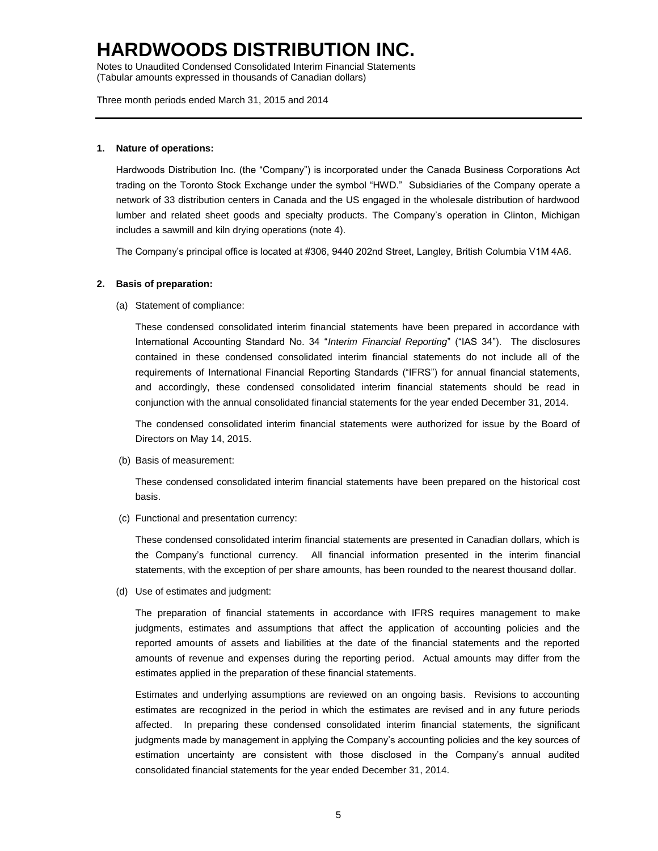Notes to Unaudited Condensed Consolidated Interim Financial Statements (Tabular amounts expressed in thousands of Canadian dollars)

Three month periods ended March 31, 2015 and 2014

#### **1. Nature of operations:**

Hardwoods Distribution Inc. (the "Company") is incorporated under the Canada Business Corporations Act trading on the Toronto Stock Exchange under the symbol "HWD." Subsidiaries of the Company operate a network of 33 distribution centers in Canada and the US engaged in the wholesale distribution of hardwood lumber and related sheet goods and specialty products. The Company's operation in Clinton, Michigan includes a sawmill and kiln drying operations (note 4).

The Company's principal office is located at #306, 9440 202nd Street, Langley, British Columbia V1M 4A6.

#### **2. Basis of preparation:**

(a) Statement of compliance:

These condensed consolidated interim financial statements have been prepared in accordance with International Accounting Standard No. 34 "*Interim Financial Reporting*" ("IAS 34"). The disclosures contained in these condensed consolidated interim financial statements do not include all of the requirements of International Financial Reporting Standards ("IFRS") for annual financial statements, and accordingly, these condensed consolidated interim financial statements should be read in conjunction with the annual consolidated financial statements for the year ended December 31, 2014.

The condensed consolidated interim financial statements were authorized for issue by the Board of Directors on May 14, 2015.

(b) Basis of measurement:

These condensed consolidated interim financial statements have been prepared on the historical cost basis.

(c) Functional and presentation currency:

These condensed consolidated interim financial statements are presented in Canadian dollars, which is the Company's functional currency. All financial information presented in the interim financial statements, with the exception of per share amounts, has been rounded to the nearest thousand dollar.

(d) Use of estimates and judgment:

The preparation of financial statements in accordance with IFRS requires management to make judgments, estimates and assumptions that affect the application of accounting policies and the reported amounts of assets and liabilities at the date of the financial statements and the reported amounts of revenue and expenses during the reporting period. Actual amounts may differ from the estimates applied in the preparation of these financial statements.

Estimates and underlying assumptions are reviewed on an ongoing basis. Revisions to accounting estimates are recognized in the period in which the estimates are revised and in any future periods affected. In preparing these condensed consolidated interim financial statements, the significant judgments made by management in applying the Company's accounting policies and the key sources of estimation uncertainty are consistent with those disclosed in the Company's annual audited consolidated financial statements for the year ended December 31, 2014.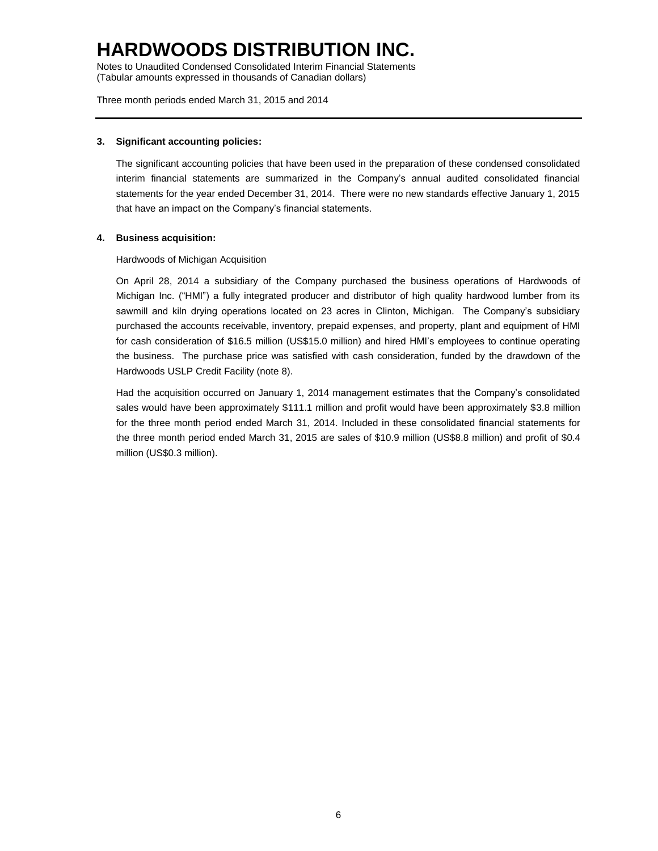Notes to Unaudited Condensed Consolidated Interim Financial Statements (Tabular amounts expressed in thousands of Canadian dollars)

Three month periods ended March 31, 2015 and 2014

#### **3. Significant accounting policies:**

The significant accounting policies that have been used in the preparation of these condensed consolidated interim financial statements are summarized in the Company's annual audited consolidated financial statements for the year ended December 31, 2014. There were no new standards effective January 1, 2015 that have an impact on the Company's financial statements.

#### **4. Business acquisition:**

Hardwoods of Michigan Acquisition

On April 28, 2014 a subsidiary of the Company purchased the business operations of Hardwoods of Michigan Inc. ("HMI") a fully integrated producer and distributor of high quality hardwood lumber from its sawmill and kiln drying operations located on 23 acres in Clinton, Michigan. The Company's subsidiary purchased the accounts receivable, inventory, prepaid expenses, and property, plant and equipment of HMI for cash consideration of \$16.5 million (US\$15.0 million) and hired HMI's employees to continue operating the business. The purchase price was satisfied with cash consideration, funded by the drawdown of the Hardwoods USLP Credit Facility (note 8).

Had the acquisition occurred on January 1, 2014 management estimates that the Company's consolidated sales would have been approximately \$111.1 million and profit would have been approximately \$3.8 million for the three month period ended March 31, 2014. Included in these consolidated financial statements for the three month period ended March 31, 2015 are sales of \$10.9 million (US\$8.8 million) and profit of \$0.4 million (US\$0.3 million).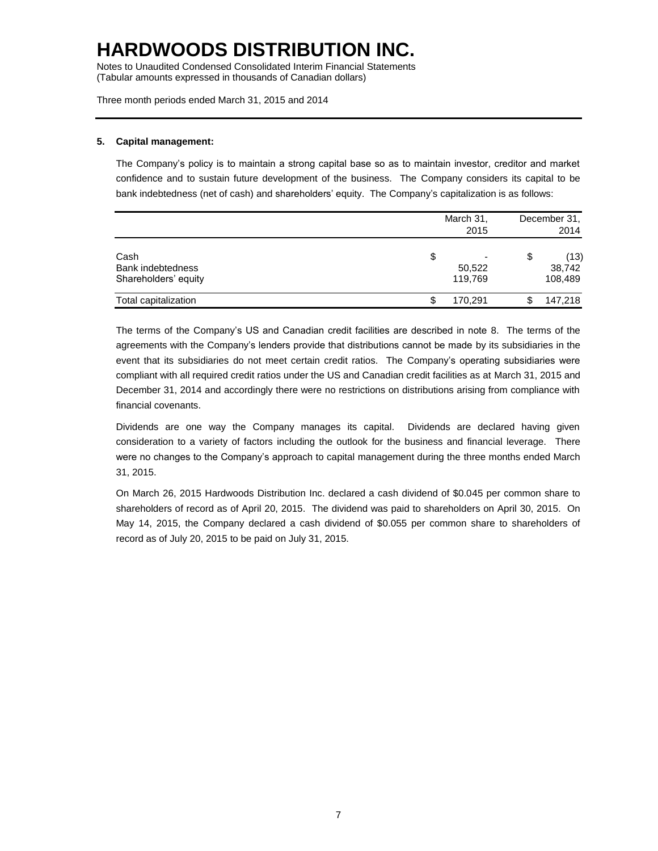Notes to Unaudited Condensed Consolidated Interim Financial Statements (Tabular amounts expressed in thousands of Canadian dollars)

Three month periods ended March 31, 2015 and 2014

#### **5. Capital management:**

The Company's policy is to maintain a strong capital base so as to maintain investor, creditor and market confidence and to sustain future development of the business. The Company considers its capital to be bank indebtedness (net of cash) and shareholders' equity. The Company's capitalization is as follows:

|                                                   | March 31,<br>2015      | December 31,<br>2014            |
|---------------------------------------------------|------------------------|---------------------------------|
| Cash<br>Bank indebtedness<br>Shareholders' equity | S<br>50,522<br>119.769 | \$<br>(13)<br>38,742<br>108,489 |
| Total capitalization                              | 170,291                | \$<br>147,218                   |

The terms of the Company's US and Canadian credit facilities are described in note 8. The terms of the agreements with the Company's lenders provide that distributions cannot be made by its subsidiaries in the event that its subsidiaries do not meet certain credit ratios. The Company's operating subsidiaries were compliant with all required credit ratios under the US and Canadian credit facilities as at March 31, 2015 and December 31, 2014 and accordingly there were no restrictions on distributions arising from compliance with financial covenants.

Dividends are one way the Company manages its capital. Dividends are declared having given consideration to a variety of factors including the outlook for the business and financial leverage. There were no changes to the Company's approach to capital management during the three months ended March 31, 2015.

On March 26, 2015 Hardwoods Distribution Inc. declared a cash dividend of \$0.045 per common share to shareholders of record as of April 20, 2015. The dividend was paid to shareholders on April 30, 2015. On May 14, 2015, the Company declared a cash dividend of \$0.055 per common share to shareholders of record as of July 20, 2015 to be paid on July 31, 2015.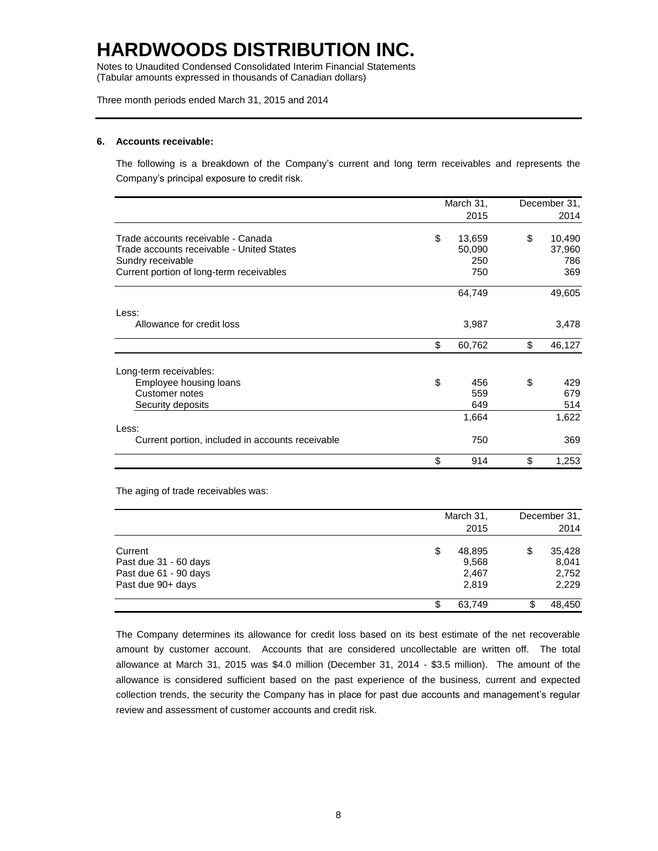Notes to Unaudited Condensed Consolidated Interim Financial Statements (Tabular amounts expressed in thousands of Canadian dollars)

Three month periods ended March 31, 2015 and 2014

#### **6. Accounts receivable:**

The following is a breakdown of the Company's current and long term receivables and represents the Company's principal exposure to credit risk.

|                                                  | March 31, |        | December 31, |
|--------------------------------------------------|-----------|--------|--------------|
|                                                  |           | 2015   | 2014         |
| Trade accounts receivable - Canada               | \$        | 13,659 | \$<br>10,490 |
| Trade accounts receivable - United States        |           | 50,090 | 37,960       |
| Sundry receivable                                |           | 250    | 786          |
| Current portion of long-term receivables         |           | 750    | 369          |
|                                                  |           | 64,749 | 49,605       |
| Less:                                            |           |        |              |
| Allowance for credit loss                        |           | 3,987  | 3,478        |
|                                                  | \$        | 60,762 | \$<br>46,127 |
| Long-term receivables:                           |           |        |              |
| Employee housing loans                           | \$        | 456    | \$<br>429    |
| Customer notes                                   |           | 559    | 679          |
| Security deposits                                |           | 649    | 514          |
|                                                  |           | 1,664  | 1,622        |
| Less:                                            |           |        |              |
| Current portion, included in accounts receivable |           | 750    | 369          |
|                                                  | \$        | 914    | \$<br>1,253  |

The aging of trade receivables was:

|                       | March 31,<br>2015 | December 31,<br>2014 |  |  |
|-----------------------|-------------------|----------------------|--|--|
| Current               | \$<br>48,895      | \$<br>35,428         |  |  |
| Past due 31 - 60 days | 9,568             | 8,041                |  |  |
| Past due 61 - 90 days | 2,467             | 2,752                |  |  |
| Past due 90+ days     | 2,819             | 2,229                |  |  |
|                       | 63.749            | 48.450               |  |  |

The Company determines its allowance for credit loss based on its best estimate of the net recoverable amount by customer account. Accounts that are considered uncollectable are written off. The total allowance at March 31, 2015 was \$4.0 million (December 31, 2014 - \$3.5 million). The amount of the allowance is considered sufficient based on the past experience of the business, current and expected collection trends, the security the Company has in place for past due accounts and management's regular review and assessment of customer accounts and credit risk.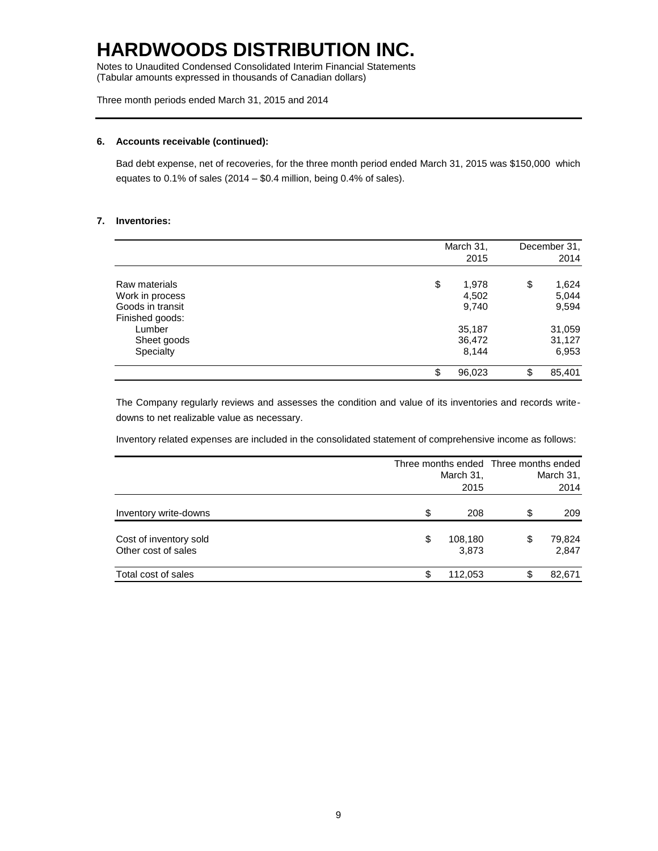Notes to Unaudited Condensed Consolidated Interim Financial Statements (Tabular amounts expressed in thousands of Canadian dollars)

Three month periods ended March 31, 2015 and 2014

#### **6. Accounts receivable (continued):**

Bad debt expense, net of recoveries, for the three month period ended March 31, 2015 was \$150,000 which equates to  $0.1\%$  of sales (2014 – \$0.4 million, being 0.4% of sales).

#### **7. Inventories:**

|                  | March 31,    | December 31, |
|------------------|--------------|--------------|
|                  | 2015         | 2014         |
| Raw materials    | \$<br>1,978  | \$<br>1,624  |
| Work in process  | 4,502        | 5,044        |
| Goods in transit | 9,740        | 9,594        |
| Finished goods:  |              |              |
| Lumber           | 35,187       | 31,059       |
| Sheet goods      | 36,472       | 31,127       |
| Specialty        | 8,144        | 6,953        |
|                  | \$<br>96,023 | \$<br>85,401 |

The Company regularly reviews and assesses the condition and value of its inventories and records writedowns to net realizable value as necessary.

Inventory related expenses are included in the consolidated statement of comprehensive income as follows:

|                                               | March 31,<br>2015      | Three months ended Three months ended<br>March 31,<br>2014 |                 |  |
|-----------------------------------------------|------------------------|------------------------------------------------------------|-----------------|--|
| Inventory write-downs                         | \$<br>208              | \$                                                         | 209             |  |
| Cost of inventory sold<br>Other cost of sales | \$<br>108,180<br>3,873 | \$                                                         | 79,824<br>2,847 |  |
| Total cost of sales                           | \$<br>112,053          | \$                                                         | 82,671          |  |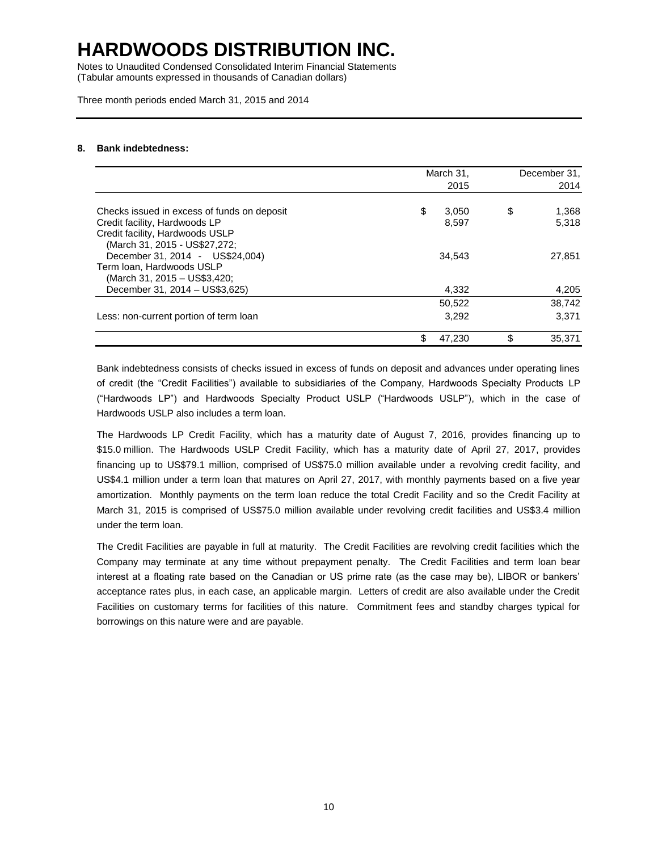Notes to Unaudited Condensed Consolidated Interim Financial Statements (Tabular amounts expressed in thousands of Canadian dollars)

Three month periods ended March 31, 2015 and 2014

#### **8. Bank indebtedness:**

|                                                                                                   | March 31, | December 31,<br>2014 |     |        |
|---------------------------------------------------------------------------------------------------|-----------|----------------------|-----|--------|
| Checks issued in excess of funds on deposit                                                       | \$        | 3,050                | \$  | 1,368  |
| Credit facility, Hardwoods LP<br>Credit facility, Hardwoods USLP<br>(March 31, 2015 - US\$27,272; |           | 8,597                |     | 5,318  |
| December 31, 2014 - US\$24,004)<br>Term Ioan, Hardwoods USLP<br>(March 31, 2015 - US\$3,420;      |           | 34,543               |     | 27,851 |
| December 31, 2014 - US\$3,625)                                                                    |           | 4.332                |     | 4,205  |
|                                                                                                   |           | 50,522               |     | 38,742 |
| Less: non-current portion of term loan                                                            |           | 3.292                |     | 3.371  |
|                                                                                                   | \$        | 47.230               | \$. | 35,371 |

Bank indebtedness consists of checks issued in excess of funds on deposit and advances under operating lines of credit (the "Credit Facilities") available to subsidiaries of the Company, Hardwoods Specialty Products LP ("Hardwoods LP") and Hardwoods Specialty Product USLP ("Hardwoods USLP"), which in the case of Hardwoods USLP also includes a term loan.

The Hardwoods LP Credit Facility, which has a maturity date of August 7, 2016, provides financing up to \$15.0 million. The Hardwoods USLP Credit Facility, which has a maturity date of April 27, 2017, provides financing up to US\$79.1 million, comprised of US\$75.0 million available under a revolving credit facility, and US\$4.1 million under a term loan that matures on April 27, 2017, with monthly payments based on a five year amortization. Monthly payments on the term loan reduce the total Credit Facility and so the Credit Facility at March 31, 2015 is comprised of US\$75.0 million available under revolving credit facilities and US\$3.4 million under the term loan.

The Credit Facilities are payable in full at maturity. The Credit Facilities are revolving credit facilities which the Company may terminate at any time without prepayment penalty. The Credit Facilities and term loan bear interest at a floating rate based on the Canadian or US prime rate (as the case may be), LIBOR or bankers' acceptance rates plus, in each case, an applicable margin. Letters of credit are also available under the Credit Facilities on customary terms for facilities of this nature. Commitment fees and standby charges typical for borrowings on this nature were and are payable.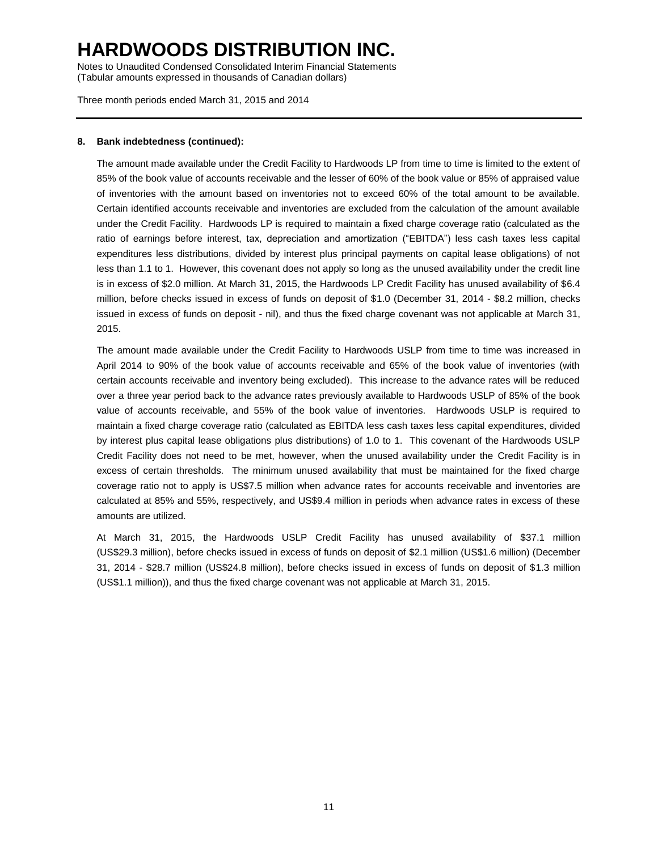Notes to Unaudited Condensed Consolidated Interim Financial Statements (Tabular amounts expressed in thousands of Canadian dollars)

Three month periods ended March 31, 2015 and 2014

#### **8. Bank indebtedness (continued):**

The amount made available under the Credit Facility to Hardwoods LP from time to time is limited to the extent of 85% of the book value of accounts receivable and the lesser of 60% of the book value or 85% of appraised value of inventories with the amount based on inventories not to exceed 60% of the total amount to be available. Certain identified accounts receivable and inventories are excluded from the calculation of the amount available under the Credit Facility. Hardwoods LP is required to maintain a fixed charge coverage ratio (calculated as the ratio of earnings before interest, tax, depreciation and amortization ("EBITDA") less cash taxes less capital expenditures less distributions, divided by interest plus principal payments on capital lease obligations) of not less than 1.1 to 1. However, this covenant does not apply so long as the unused availability under the credit line is in excess of \$2.0 million. At March 31, 2015, the Hardwoods LP Credit Facility has unused availability of \$6.4 million, before checks issued in excess of funds on deposit of \$1.0 (December 31, 2014 - \$8.2 million, checks issued in excess of funds on deposit - nil), and thus the fixed charge covenant was not applicable at March 31, 2015.

The amount made available under the Credit Facility to Hardwoods USLP from time to time was increased in April 2014 to 90% of the book value of accounts receivable and 65% of the book value of inventories (with certain accounts receivable and inventory being excluded). This increase to the advance rates will be reduced over a three year period back to the advance rates previously available to Hardwoods USLP of 85% of the book value of accounts receivable, and 55% of the book value of inventories. Hardwoods USLP is required to maintain a fixed charge coverage ratio (calculated as EBITDA less cash taxes less capital expenditures, divided by interest plus capital lease obligations plus distributions) of 1.0 to 1. This covenant of the Hardwoods USLP Credit Facility does not need to be met, however, when the unused availability under the Credit Facility is in excess of certain thresholds. The minimum unused availability that must be maintained for the fixed charge coverage ratio not to apply is US\$7.5 million when advance rates for accounts receivable and inventories are calculated at 85% and 55%, respectively, and US\$9.4 million in periods when advance rates in excess of these amounts are utilized.

At March 31, 2015, the Hardwoods USLP Credit Facility has unused availability of \$37.1 million (US\$29.3 million), before checks issued in excess of funds on deposit of \$2.1 million (US\$1.6 million) (December 31, 2014 - \$28.7 million (US\$24.8 million), before checks issued in excess of funds on deposit of \$1.3 million (US\$1.1 million)), and thus the fixed charge covenant was not applicable at March 31, 2015.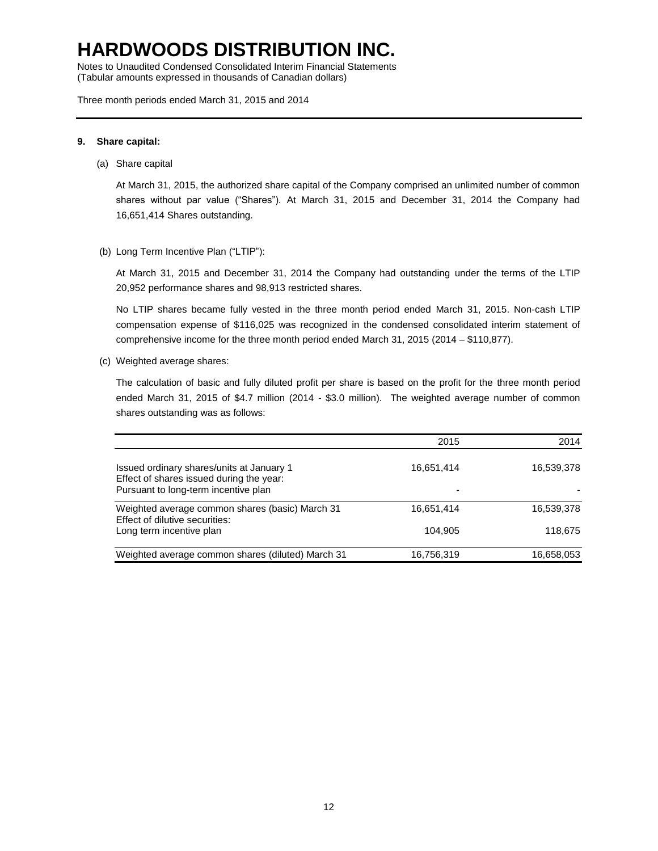Notes to Unaudited Condensed Consolidated Interim Financial Statements (Tabular amounts expressed in thousands of Canadian dollars)

Three month periods ended March 31, 2015 and 2014

#### **9. Share capital:**

(a) Share capital

At March 31, 2015, the authorized share capital of the Company comprised an unlimited number of common shares without par value ("Shares"). At March 31, 2015 and December 31, 2014 the Company had 16,651,414 Shares outstanding.

(b) Long Term Incentive Plan ("LTIP"):

At March 31, 2015 and December 31, 2014 the Company had outstanding under the terms of the LTIP 20,952 performance shares and 98,913 restricted shares.

No LTIP shares became fully vested in the three month period ended March 31, 2015. Non-cash LTIP compensation expense of \$116,025 was recognized in the condensed consolidated interim statement of comprehensive income for the three month period ended March 31, 2015 (2014 – \$110,877).

(c) Weighted average shares:

The calculation of basic and fully diluted profit per share is based on the profit for the three month period ended March 31, 2015 of \$4.7 million (2014 - \$3.0 million). The weighted average number of common shares outstanding was as follows:

|                                                                                                                               | 2015       | 2014       |
|-------------------------------------------------------------------------------------------------------------------------------|------------|------------|
| Issued ordinary shares/units at January 1<br>Effect of shares issued during the year:<br>Pursuant to long-term incentive plan | 16,651,414 | 16,539,378 |
| Weighted average common shares (basic) March 31<br>Effect of dilutive securities:                                             | 16,651,414 | 16,539,378 |
| Long term incentive plan                                                                                                      | 104.905    | 118,675    |
| Weighted average common shares (diluted) March 31                                                                             | 16,756,319 | 16,658,053 |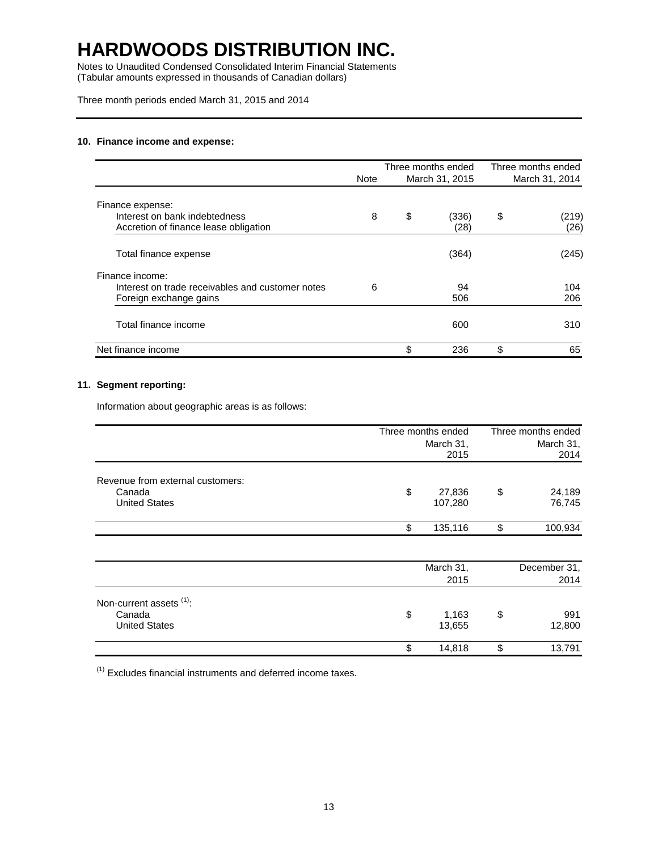Notes to Unaudited Condensed Consolidated Interim Financial Statements (Tabular amounts expressed in thousands of Canadian dollars)

Three month periods ended March 31, 2015 and 2014

#### **10. Finance income and expense:**

|                                                  | Note | Three months ended<br>March 31, 2015 | Three months ended<br>March 31, 2014 |
|--------------------------------------------------|------|--------------------------------------|--------------------------------------|
|                                                  |      |                                      |                                      |
| Finance expense:                                 |      |                                      |                                      |
| Interest on bank indebtedness                    | 8    | \$<br>(336)                          | \$<br>(219)                          |
| Accretion of finance lease obligation            |      | (28)                                 | (26)                                 |
| Total finance expense                            |      | (364)                                | (245)                                |
| Finance income:                                  |      |                                      |                                      |
| Interest on trade receivables and customer notes | 6    | 94                                   | 104                                  |
| Foreign exchange gains                           |      | 506                                  | 206                                  |
| Total finance income                             |      | 600                                  | 310                                  |
| Net finance income                               |      | \$<br>236                            | \$<br>65                             |

#### **11. Segment reporting:**

Information about geographic areas is as follows:

|                                                                    | Three months ended<br>March 31, |                   | Three months ended<br>March 31, |                  |
|--------------------------------------------------------------------|---------------------------------|-------------------|---------------------------------|------------------|
|                                                                    |                                 |                   |                                 |                  |
|                                                                    |                                 | 2015              |                                 | 2014             |
| Revenue from external customers:<br>Canada<br><b>United States</b> | \$                              | 27,836<br>107,280 | \$                              | 24,189<br>76,745 |
|                                                                    | \$                              | 135,116           | \$                              | 100,934          |
|                                                                    |                                 | March 31,         |                                 | December 31,     |
|                                                                    |                                 | 2015              |                                 | 2014             |
| Non-current assets (1):<br>Canada                                  | \$                              | 1,163             | \$                              | 991              |
| <b>United States</b>                                               |                                 | 13,655            |                                 | 12,800           |
|                                                                    | \$                              | 14,818            | \$                              | 13,791           |

 $(1)$  Excludes financial instruments and deferred income taxes.